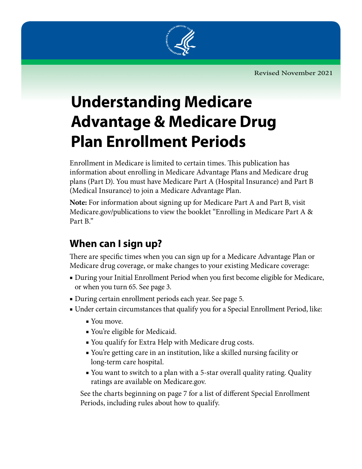

# **Understanding Medicare Advantage & Medicare Drug Plan Enrollment Periods**

Enrollment in Medicare is limited to certain times. This publication has information about enrolling in Medicare Advantage Plans and Medicare drug plans (Part D). You must have Medicare Part A (Hospital Insurance) and Part B (Medical Insurance) to join a Medicare Advantage Plan.

**Note:** For information about signing up for Medicare Part A and Part B, visit [Medicare.gov/publications](http://www.medicare.gov/publications) to view the booklet "Enrolling in Medicare Part A & Part B."

### **When can I sign up?**

There are specific times when you can sign up for a Medicare Advantage Plan or Medicare drug coverage, or make changes to your existing Medicare coverage:

- During your Initial Enrollment Period when you first become eligible for Medicare, or when you turn 65. See page 3.
- During certain enrollment periods each year. See page 5.
- Under certain circumstances that qualify you for a Special Enrollment Period, like:
	- You move.
	- You're eligible for Medicaid.
	- You qualify for Extra Help with Medicare drug costs.
	- You're getting care in an institution, like a skilled nursing facility or long‑term care hospital.
	- You want to switch to a plan with a 5-star overall quality rating. Quality ratings are available on Medicare.gov.

See the charts beginning on page 7 for a list of different Special Enrollment Periods, including rules about how to qualify.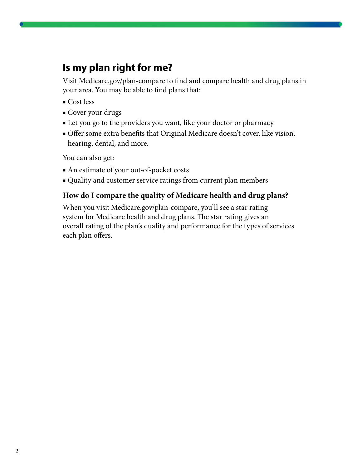#### **Is my plan right for me?**

Visit [Medicare.gov/plan-compare](http://Medicare.gov/plan-compare) to find and compare health and drug plans in your area. You may be able to find plans that:

- Cost less
- Cover your drugs
- Let you go to the providers you want, like your doctor or pharmacy
- Offer some extra benefits that Original Medicare doesn't cover, like vision, hearing, dental, and more.

You can also get:

- An estimate of your out-of-pocket costs
- Quality and customer service ratings from current plan members

#### **How do I compare the quality of Medicare health and drug plans?**

When you visit Medicare.gov/plan-compare, you'll see a star rating system for Medicare health and drug plans. The star rating gives an overall rating of the plan's quality and performance for the types of services each plan offers.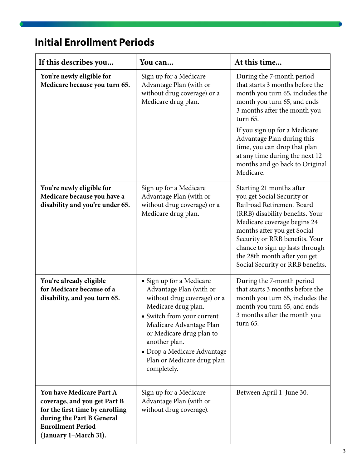### **Initial Enrollment Periods**

| If this describes you                                                                                                                                                         | You can                                                                                                                                                                                                                                                                                     | At this time                                                                                                                                                                                                                                                                                                                                               |
|-------------------------------------------------------------------------------------------------------------------------------------------------------------------------------|---------------------------------------------------------------------------------------------------------------------------------------------------------------------------------------------------------------------------------------------------------------------------------------------|------------------------------------------------------------------------------------------------------------------------------------------------------------------------------------------------------------------------------------------------------------------------------------------------------------------------------------------------------------|
| You're newly eligible for<br>Medicare because you turn 65.                                                                                                                    | Sign up for a Medicare<br>Advantage Plan (with or<br>without drug coverage) or a<br>Medicare drug plan.                                                                                                                                                                                     | During the 7-month period<br>that starts 3 months before the<br>month you turn 65, includes the<br>month you turn 65, and ends<br>3 months after the month you<br>turn 65.<br>If you sign up for a Medicare<br>Advantage Plan during this<br>time, you can drop that plan<br>at any time during the next 12<br>months and go back to Original<br>Medicare. |
| You're newly eligible for<br>Medicare because you have a<br>disability and you're under 65.                                                                                   | Sign up for a Medicare<br>Advantage Plan (with or<br>without drug coverage) or a<br>Medicare drug plan.                                                                                                                                                                                     | Starting 21 months after<br>you get Social Security or<br>Railroad Retirement Board<br>(RRB) disability benefits. Your<br>Medicare coverage begins 24<br>months after you get Social<br>Security or RRB benefits. Your<br>chance to sign up lasts through<br>the 28th month after you get<br>Social Security or RRB benefits.                              |
| You're already eligible<br>for Medicare because of a<br>disability, and you turn 65.                                                                                          | • Sign up for a Medicare<br>Advantage Plan (with or<br>without drug coverage) or a<br>Medicare drug plan.<br>• Switch from your current<br>Medicare Advantage Plan<br>or Medicare drug plan to<br>another plan.<br>• Drop a Medicare Advantage<br>Plan or Medicare drug plan<br>completely. | During the 7-month period<br>that starts 3 months before the<br>month you turn 65, includes the<br>month you turn 65, and ends<br>3 months after the month you<br>turn 65.                                                                                                                                                                                 |
| You have Medicare Part A<br>coverage, and you get Part B<br>for the first time by enrolling<br>during the Part B General<br><b>Enrollment Period</b><br>(January 1-March 31). | Sign up for a Medicare<br>Advantage Plan (with or<br>without drug coverage).                                                                                                                                                                                                                | Between April 1-June 30.                                                                                                                                                                                                                                                                                                                                   |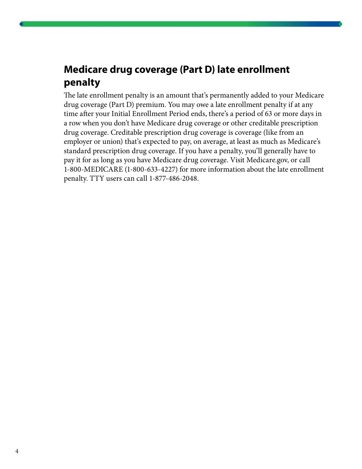### **Medicare drug coverage (Part D) late enrollment penalty**

The late enrollment penalty is an amount that's permanently added to your Medicare drug coverage (Part D) premium. You may owe a late enrollment penalty if at any time after your Initial Enrollment Period ends, there's a period of 63 or more days in a row when you don't have Medicare drug coverage or other creditable prescription drug coverage. Creditable prescription drug coverage is coverage (like from an employer or union) that's expected to pay, on average, at least as much as Medicare's standard prescription drug coverage. If you have a penalty, you'll generally have to pay it for as long as you have Medicare drug coverage. Visit Medicare.gov, or call 1-800-MEDICARE (1-800-633-4227) for more information about the late enrollment penalty. TTY users can call 1-877-486-2048.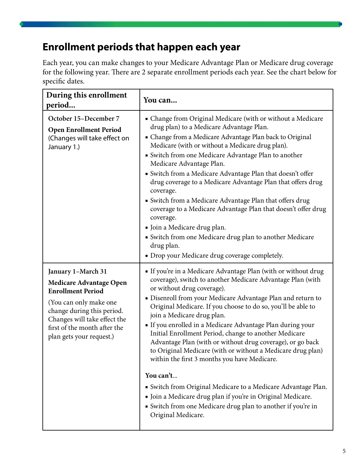### **Enrollment periods that happen each year**

Each year, you can make changes to your Medicare Advantage Plan or Medicare drug coverage for the following year. There are 2 separate enrollment periods each year. See the chart below for specific dates.

| During this enrollment<br>period                                                                                                                                                                                                     | You can                                                                                                                                                                                                                                                                                                                                                                                                                                                                                                                                                                                                                                                                                                                                                                                                                                                    |
|--------------------------------------------------------------------------------------------------------------------------------------------------------------------------------------------------------------------------------------|------------------------------------------------------------------------------------------------------------------------------------------------------------------------------------------------------------------------------------------------------------------------------------------------------------------------------------------------------------------------------------------------------------------------------------------------------------------------------------------------------------------------------------------------------------------------------------------------------------------------------------------------------------------------------------------------------------------------------------------------------------------------------------------------------------------------------------------------------------|
| October 15-December 7<br><b>Open Enrollment Period</b><br>(Changes will take effect on<br>January 1.)                                                                                                                                | • Change from Original Medicare (with or without a Medicare<br>drug plan) to a Medicare Advantage Plan.<br>• Change from a Medicare Advantage Plan back to Original<br>Medicare (with or without a Medicare drug plan).<br>• Switch from one Medicare Advantage Plan to another<br>Medicare Advantage Plan.<br>• Switch from a Medicare Advantage Plan that doesn't offer<br>drug coverage to a Medicare Advantage Plan that offers drug<br>coverage.<br>• Switch from a Medicare Advantage Plan that offers drug<br>coverage to a Medicare Advantage Plan that doesn't offer drug<br>coverage.<br>• Join a Medicare drug plan.<br>• Switch from one Medicare drug plan to another Medicare<br>drug plan.<br>• Drop your Medicare drug coverage completely.                                                                                                |
| January 1-March 31<br><b>Medicare Advantage Open</b><br><b>Enrollment Period</b><br>(You can only make one<br>change during this period.<br>Changes will take effect the<br>first of the month after the<br>plan gets your request.) | If you're in a Medicare Advantage Plan (with or without drug<br>coverage), switch to another Medicare Advantage Plan (with<br>or without drug coverage).<br>• Disenroll from your Medicare Advantage Plan and return to<br>Original Medicare. If you choose to do so, you'll be able to<br>join a Medicare drug plan.<br>If you enrolled in a Medicare Advantage Plan during your<br>Initial Enrollment Period, change to another Medicare<br>Advantage Plan (with or without drug coverage), or go back<br>to Original Medicare (with or without a Medicare drug plan)<br>within the first 3 months you have Medicare.<br>You can't<br>• Switch from Original Medicare to a Medicare Advantage Plan.<br>· Join a Medicare drug plan if you're in Original Medicare.<br>• Switch from one Medicare drug plan to another if you're in<br>Original Medicare. |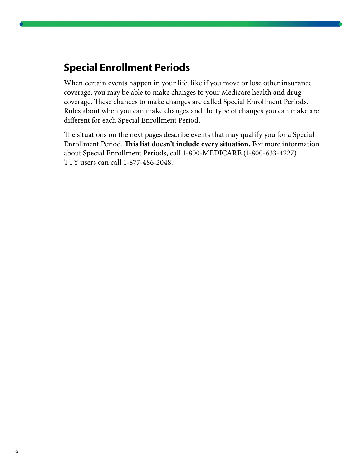### **Special Enrollment Periods**

When certain events happen in your life, like if you move or lose other insurance coverage, you may be able to make changes to your Medicare health and drug coverage. These chances to make changes are called Special Enrollment Periods. Rules about when you can make changes and the type of changes you can make are different for each Special Enrollment Period.

The situations on the next pages describe events that may qualify you for a Special Enrollment Period. **This list doesn't include every situation.** For more information about Special Enrollment Periods, call 1-800-MEDICARE (1-800-633-4227). TTY users can call 1-877-486-2048.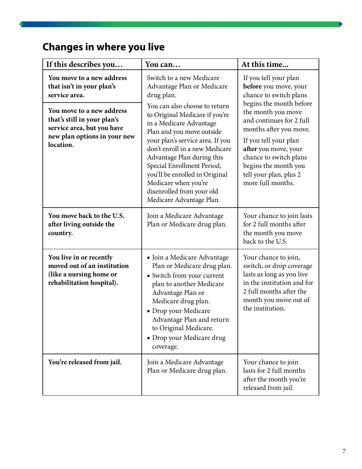## **Changes in where you live**

| If this describes you                                                                                                                                                                                          | You can                                                                                                                                                                                                                                                                                                                                                                                                                                              | At this time                                                                                                                                                                                                                                                                                                                      |
|----------------------------------------------------------------------------------------------------------------------------------------------------------------------------------------------------------------|------------------------------------------------------------------------------------------------------------------------------------------------------------------------------------------------------------------------------------------------------------------------------------------------------------------------------------------------------------------------------------------------------------------------------------------------------|-----------------------------------------------------------------------------------------------------------------------------------------------------------------------------------------------------------------------------------------------------------------------------------------------------------------------------------|
| You move to a new address<br>that isn't in your plan's<br>service area.<br>You move to a new address<br>that's still in your plan's<br>service area, but you have<br>new plan options in your new<br>location. | Switch to a new Medicare<br>Advantage Plan or Medicare<br>drug plan.<br>You can also choose to return<br>to Original Medicare if you're<br>in a Medicare Advantage<br>Plan and you move outside<br>your plan's service area. If you<br>don't enroll in a new Medicare<br>Advantage Plan during this<br>Special Enrollment Period,<br>you'll be enrolled in Original<br>Medicare when you're<br>disenrolled from your old<br>Medicare Advantage Plan. | If you tell your plan<br>before you move, your<br>chance to switch plans<br>begins the month before<br>the month you move<br>and continues for 2 full<br>months after you move.<br>If you tell your plan<br>after you move, your<br>chance to switch plans<br>begins the month you<br>tell your plan, plus 2<br>more full months. |
| You move back to the U.S.<br>after living outside the<br>country.                                                                                                                                              | Join a Medicare Advantage<br>Plan or Medicare drug plan.                                                                                                                                                                                                                                                                                                                                                                                             | Your chance to join lasts<br>for 2 full months after<br>the month you move<br>back to the U.S.                                                                                                                                                                                                                                    |
| You live in or recently<br>moved out of an institution<br>(like a nursing home or<br>rehabilitation hospital).                                                                                                 | • Join a Medicare Advantage<br>Plan or Medicare drug plan.<br>• Switch from your current<br>plan to another Medicare<br>Advantage Plan or<br>Medicare drug plan.<br>• Drop your Medicare<br>Advantage Plan and return<br>to Original Medicare.<br>· Drop your Medicare drug<br>coverage.                                                                                                                                                             | Your chance to join,<br>switch, or drop coverage<br>lasts as long as you live<br>in the institution and for<br>2 full months after the<br>month you move out of<br>the institution.                                                                                                                                               |
| You're released from jail.                                                                                                                                                                                     | Join a Medicare Advantage<br>Plan or Medicare drug plan.                                                                                                                                                                                                                                                                                                                                                                                             | Your chance to join<br>lasts for 2 full months<br>after the month you're<br>released from jail.                                                                                                                                                                                                                                   |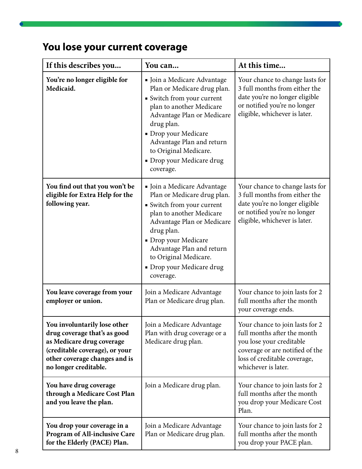## **You lose your current coverage**

| If this describes you                                                                                                                                                                 | You can                                                                                                                                                                                                                                                                                | At this time                                                                                                                                                                         |
|---------------------------------------------------------------------------------------------------------------------------------------------------------------------------------------|----------------------------------------------------------------------------------------------------------------------------------------------------------------------------------------------------------------------------------------------------------------------------------------|--------------------------------------------------------------------------------------------------------------------------------------------------------------------------------------|
| You're no longer eligible for<br>Medicaid.                                                                                                                                            | Ioin a Medicare Advantage<br>Plan or Medicare drug plan.<br>• Switch from your current<br>plan to another Medicare<br>Advantage Plan or Medicare<br>drug plan.<br>• Drop your Medicare<br>Advantage Plan and return<br>to Original Medicare.<br>· Drop your Medicare drug<br>coverage. | Your chance to change lasts for<br>3 full months from either the<br>date you're no longer eligible<br>or notified you're no longer<br>eligible, whichever is later.                  |
| You find out that you won't be<br>eligible for Extra Help for the<br>following year.                                                                                                  | Ioin a Medicare Advantage<br>Plan or Medicare drug plan.<br>• Switch from your current<br>plan to another Medicare<br>Advantage Plan or Medicare<br>drug plan.<br>· Drop your Medicare<br>Advantage Plan and return<br>to Original Medicare.<br>· Drop your Medicare drug<br>coverage. | Your chance to change lasts for<br>3 full months from either the<br>date you're no longer eligible<br>or notified you're no longer<br>eligible, whichever is later.                  |
| You leave coverage from your<br>employer or union.                                                                                                                                    | Join a Medicare Advantage<br>Plan or Medicare drug plan.                                                                                                                                                                                                                               | Your chance to join lasts for 2<br>full months after the month<br>your coverage ends.                                                                                                |
| You involuntarily lose other<br>drug coverage that's as good<br>as Medicare drug coverage<br>(creditable coverage), or your<br>other coverage changes and is<br>no longer creditable. | Join a Medicare Advantage<br>Plan with drug coverage or a<br>Medicare drug plan.                                                                                                                                                                                                       | Your chance to join lasts for 2<br>full months after the month<br>you lose your creditable<br>coverage or are notified of the<br>loss of creditable coverage,<br>whichever is later. |
| You have drug coverage<br>through a Medicare Cost Plan<br>and you leave the plan.                                                                                                     | Join a Medicare drug plan.                                                                                                                                                                                                                                                             | Your chance to join lasts for 2<br>full months after the month<br>you drop your Medicare Cost<br>Plan.                                                                               |
| You drop your coverage in a<br><b>Program of All-inclusive Care</b><br>for the Elderly (PACE) Plan.                                                                                   | Join a Medicare Advantage<br>Plan or Medicare drug plan.                                                                                                                                                                                                                               | Your chance to join lasts for 2<br>full months after the month<br>you drop your PACE plan.                                                                                           |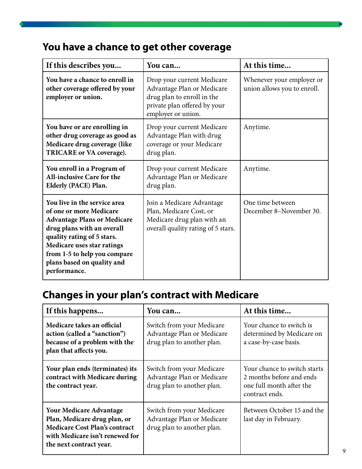## **You have a chance to get other coverage**

| If this describes you                                                                                                                                                                                                                                                 | You can                                                                                                                                      | At this time                                             |
|-----------------------------------------------------------------------------------------------------------------------------------------------------------------------------------------------------------------------------------------------------------------------|----------------------------------------------------------------------------------------------------------------------------------------------|----------------------------------------------------------|
| You have a chance to enroll in<br>other coverage offered by your<br>employer or union.                                                                                                                                                                                | Drop your current Medicare<br>Advantage Plan or Medicare<br>drug plan to enroll in the<br>private plan offered by your<br>employer or union. | Whenever your employer or<br>union allows you to enroll. |
| You have or are enrolling in<br>other drug coverage as good as<br>Medicare drug coverage (like<br>TRICARE or VA coverage).                                                                                                                                            | Drop your current Medicare<br>Advantage Plan with drug<br>coverage or your Medicare<br>drug plan.                                            | Anytime.                                                 |
| You enroll in a Program of<br><b>All-inclusive Care for the</b><br>Elderly (PACE) Plan.                                                                                                                                                                               | Drop your current Medicare<br>Advantage Plan or Medicare<br>drug plan.                                                                       | Anytime.                                                 |
| You live in the service area<br>of one or more Medicare<br><b>Advantage Plans or Medicare</b><br>drug plans with an overall<br>quality rating of 5 stars.<br>Medicare uses star ratings<br>from 1-5 to help you compare<br>plans based on quality and<br>performance. | Join a Medicare Advantage<br>Plan, Medicare Cost, or<br>Medicare drug plan with an<br>overall quality rating of 5 stars.                     | One time between<br>December 8-November 30.              |

## **Changes in your plan's contract with Medicare**

| If this happens                                                                                                                                                      | You can                                                                               | At this time                                                                                           |
|----------------------------------------------------------------------------------------------------------------------------------------------------------------------|---------------------------------------------------------------------------------------|--------------------------------------------------------------------------------------------------------|
| Medicare takes an official<br>action (called a "sanction")<br>because of a problem with the<br>plan that affects you.                                                | Switch from your Medicare<br>Advantage Plan or Medicare<br>drug plan to another plan. | Your chance to switch is<br>determined by Medicare on<br>a case-by-case basis.                         |
| Your plan ends (terminates) its<br>contract with Medicare during<br>the contract year.                                                                               | Switch from your Medicare<br>Advantage Plan or Medicare<br>drug plan to another plan. | Your chance to switch starts<br>2 months before and ends<br>one full month after the<br>contract ends. |
| <b>Your Medicare Advantage</b><br>Plan, Medicare drug plan, or<br><b>Medicare Cost Plan's contract</b><br>with Medicare isn't renewed for<br>the next contract year. | Switch from your Medicare<br>Advantage Plan or Medicare<br>drug plan to another plan. | Between October 15 and the<br>last day in February.                                                    |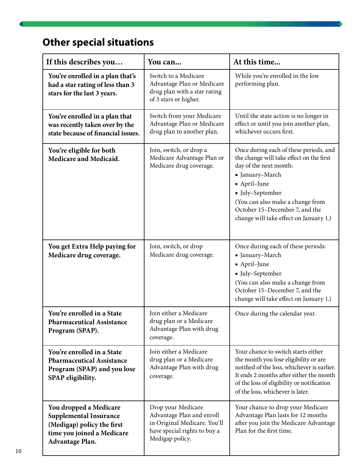## **Other special situations**

| If this describes you                                                                                                                         | You can                                                                                                                            | At this time                                                                                                                                                                                                                                                                        |
|-----------------------------------------------------------------------------------------------------------------------------------------------|------------------------------------------------------------------------------------------------------------------------------------|-------------------------------------------------------------------------------------------------------------------------------------------------------------------------------------------------------------------------------------------------------------------------------------|
| You're enrolled in a plan that's<br>had a star rating of less than 3<br>stars for the last 3 years.                                           | Switch to a Medicare<br>Advantage Plan or Medicare<br>drug plan with a star rating<br>of 3 stars or higher.                        | While you're enrolled in the low<br>performing plan.                                                                                                                                                                                                                                |
| You're enrolled in a plan that<br>was recently taken over by the<br>state because of financial issues.                                        | Switch from your Medicare<br>Advantage Plan or Medicare<br>drug plan to another plan.                                              | Until the state action is no longer in<br>effect or until you join another plan,<br>whichever occurs first.                                                                                                                                                                         |
| You're eligible for both<br>Medicare and Medicaid.                                                                                            | Join, switch, or drop a<br>Medicare Advantage Plan or<br>Medicare drug coverage.                                                   | Once during each of these periods, and<br>the change will take effect on the first<br>day of the next month:<br>· January-March<br>• April-June<br>• July-September<br>(You can also make a change from<br>October 15-December 7, and the<br>change will take effect on January 1.) |
| You get Extra Help paying for<br>Medicare drug coverage.                                                                                      | Join, switch, or drop<br>Medicare drug coverage.                                                                                   | Once during each of these periods:<br>· January-March<br>• April-June<br>Iuly-September<br>(You can also make a change from<br>October 15-December 7, and the<br>change will take effect on January 1.)                                                                             |
| You're enrolled in a State<br><b>Pharmaceutical Assistance</b><br>Program (SPAP).                                                             | Join either a Medicare<br>drug plan or a Medicare<br>Advantage Plan with drug<br>coverage.                                         | Once during the calendar year.                                                                                                                                                                                                                                                      |
| You're enrolled in a State<br><b>Pharmaceutical Assistance</b><br>Program (SPAP) and you lose<br>SPAP eligibility.                            | Join either a Medicare<br>drug plan or a Medicare<br>Advantage Plan with drug<br>coverage.                                         | Your chance to switch starts either<br>the month you lose eligibility or are<br>notified of the loss, whichever is earlier.<br>It ends 2 months after either the month<br>of the loss of eligibility or notification<br>of the loss, whichever is later.                            |
| You dropped a Medicare<br><b>Supplemental Insurance</b><br>(Medigap) policy the first<br>time you joined a Medicare<br><b>Advantage Plan.</b> | Drop your Medicare<br>Advantage Plan and enroll<br>in Original Medicare. You'll<br>have special rights to buy a<br>Medigap policy. | Your chance to drop your Medicare<br>Advantage Plan lasts for 12 months<br>after you join the Medicare Advantage<br>Plan for the first time.                                                                                                                                        |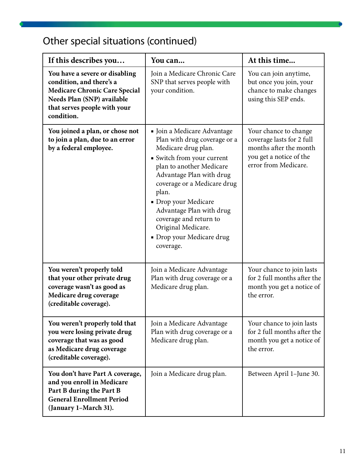## Other special situations (continued)

| If this describes you                                                                                                                                                          | You can                                                                                                                                                                                                                                                                                                                                                        | At this time                                                                                                                    |
|--------------------------------------------------------------------------------------------------------------------------------------------------------------------------------|----------------------------------------------------------------------------------------------------------------------------------------------------------------------------------------------------------------------------------------------------------------------------------------------------------------------------------------------------------------|---------------------------------------------------------------------------------------------------------------------------------|
| You have a severe or disabling<br>condition, and there's a<br><b>Medicare Chronic Care Special</b><br>Needs Plan (SNP) available<br>that serves people with your<br>condition. | Join a Medicare Chronic Care<br>SNP that serves people with<br>your condition.                                                                                                                                                                                                                                                                                 | You can join anytime,<br>but once you join, your<br>chance to make changes<br>using this SEP ends.                              |
| You joined a plan, or chose not<br>to join a plan, due to an error<br>by a federal employee.                                                                                   | • Join a Medicare Advantage<br>Plan with drug coverage or a<br>Medicare drug plan.<br>· Switch from your current<br>plan to another Medicare<br>Advantage Plan with drug<br>coverage or a Medicare drug<br>plan.<br>• Drop your Medicare<br>Advantage Plan with drug<br>coverage and return to<br>Original Medicare.<br>• Drop your Medicare drug<br>coverage. | Your chance to change<br>coverage lasts for 2 full<br>months after the month<br>you get a notice of the<br>error from Medicare. |
| You weren't properly told<br>that your other private drug<br>coverage wasn't as good as<br>Medicare drug coverage<br>(creditable coverage).                                    | Join a Medicare Advantage<br>Plan with drug coverage or a<br>Medicare drug plan.                                                                                                                                                                                                                                                                               | Your chance to join lasts<br>for 2 full months after the<br>month you get a notice of<br>the error.                             |
| You weren't properly told that<br>you were losing private drug<br>coverage that was as good<br>as Medicare drug coverage<br>(creditable coverage).                             | Join a Medicare Advantage<br>Plan with drug coverage or a<br>Medicare drug plan.                                                                                                                                                                                                                                                                               | Your chance to join lasts<br>for 2 full months after the<br>month you get a notice of<br>the error.                             |
| You don't have Part A coverage,<br>and you enroll in Medicare<br>Part B during the Part B<br><b>General Enrollment Period</b><br>(January 1-March 31).                         | Join a Medicare drug plan.                                                                                                                                                                                                                                                                                                                                     | Between April 1-June 30.                                                                                                        |